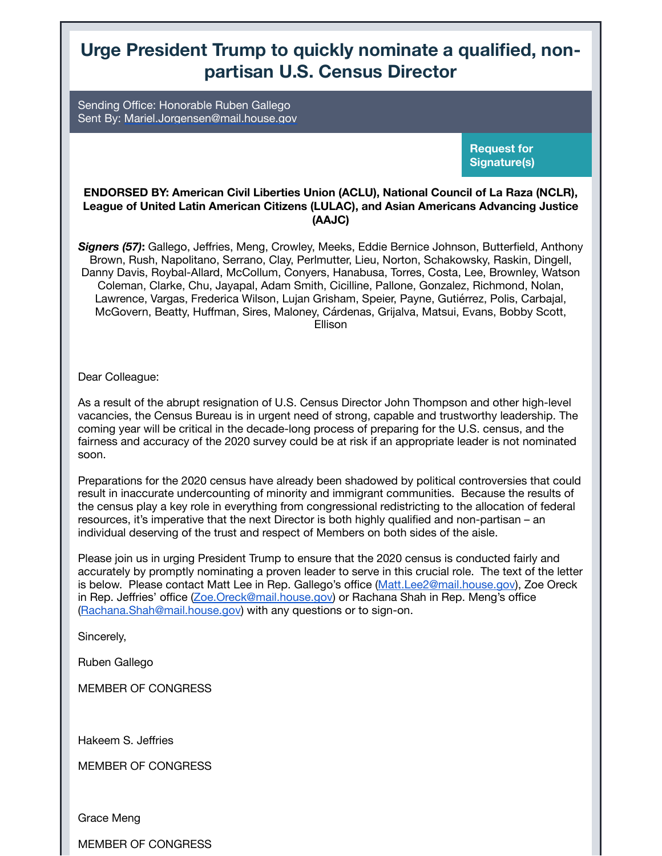## **Urge President Trump to quickly nominate a qualified, nonpartisan U.S. Census Director**

Sending Office: Honorable Ruben Gallego Sent By: [Mariel.Jorgensen@mail.house.gov](mailto:%20Mariel.Jorgensen@mail.house.gov)

> **Request for Signature(s)**

## **ENDORSED BY: American Civil Liberties Union (ACLU), National Council of La Raza (NCLR), League of United Latin American Citizens (LULAC), and Asian Americans Advancing Justice (AAJC)**

*Signers (57)***:** Gallego, Jeffries, Meng, Crowley, Meeks, Eddie Bernice Johnson, Butterfield, Anthony Brown, Rush, Napolitano, Serrano, Clay, Perlmutter, Lieu, Norton, Schakowsky, Raskin, Dingell, Danny Davis, Roybal-Allard, McCollum, Conyers, Hanabusa, Torres, Costa, Lee, Brownley, Watson Coleman, Clarke, Chu, Jayapal, Adam Smith, Cicilline, Pallone, Gonzalez, Richmond, Nolan, Lawrence, Vargas, Frederica Wilson, Lujan Grisham, Speier, Payne, Gutiérrez, Polis, Carbajal, McGovern, Beatty, Huffman, Sires, Maloney, Cárdenas, Grijalva, Matsui, Evans, Bobby Scott, Ellison

Dear Colleague:

As a result of the abrupt resignation of U.S. Census Director John Thompson and other high-level vacancies, the Census Bureau is in urgent need of strong, capable and trustworthy leadership. The coming year will be critical in the decade-long process of preparing for the U.S. census, and the fairness and accuracy of the 2020 survey could be at risk if an appropriate leader is not nominated soon.

Preparations for the 2020 census have already been shadowed by political controversies that could result in inaccurate undercounting of minority and immigrant communities. Because the results of the census play a key role in everything from congressional redistricting to the allocation of federal resources, it's imperative that the next Director is both highly qualified and non-partisan – an individual deserving of the trust and respect of Members on both sides of the aisle.

Please join us in urging President Trump to ensure that the 2020 census is conducted fairly and accurately by promptly nominating a proven leader to serve in this crucial role. The text of the letter is below. Please contact Matt Lee in Rep. Gallego's office ([Matt.Lee2@mail.house.gov\)](mailto:Matt.Lee2@mail.house.gov), Zoe Oreck in Rep. Jeffries' office [\(Zoe.Oreck@mail.house.gov\)](mailto:Zoe.Oreck@mail.house.gov) or Rachana Shah in Rep. Meng's office ([Rachana.Shah@mail.house.gov\)](mailto:Rachana.Shah@mail.house.gov) with any questions or to sign-on.

Sincerely,

Ruben Gallego

MEMBER OF CONGRESS

Hakeem S. Jeffries

MEMBER OF CONGRESS

Grace Meng

MEMBER OF CONGRESS